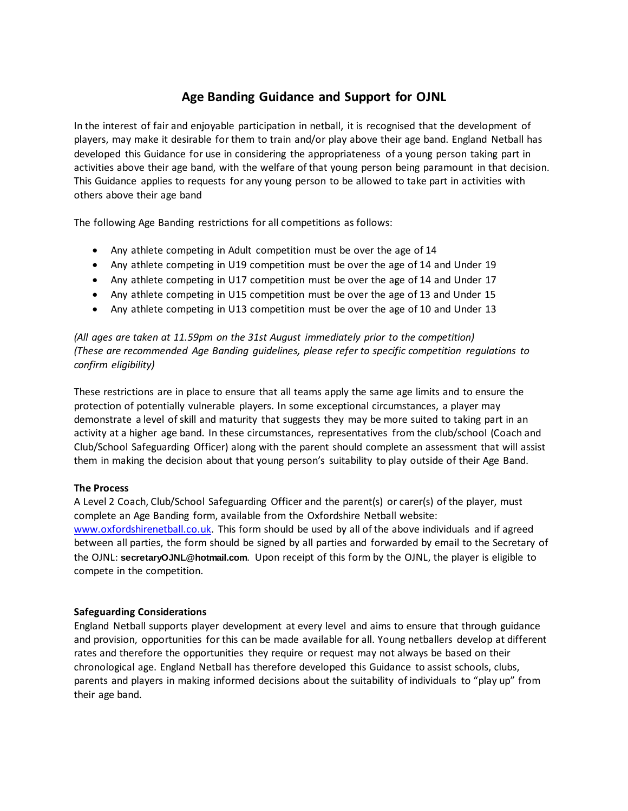## **Age Banding Guidance and Support for OJNL**

In the interest of fair and enjoyable participation in netball, it is recognised that the development of players, may make it desirable for them to train and/or play above their age band. England Netball has developed this Guidance for use in considering the appropriateness of a young person taking part in activities above their age band, with the welfare of that young person being paramount in that decision. This Guidance applies to requests for any young person to be allowed to take part in activities with others above their age band

The following Age Banding restrictions for all competitions as follows:

- Any athlete competing in Adult competition must be over the age of 14
- Any athlete competing in U19 competition must be over the age of 14 and Under 19
- Any athlete competing in U17 competition must be over the age of 14 and Under 17
- Any athlete competing in U15 competition must be over the age of 13 and Under 15
- Any athlete competing in U13 competition must be over the age of 10 and Under 13

*(All ages are taken at 11.59pm on the 31st August immediately prior to the competition) (These are recommended Age Banding guidelines, please refer to specific competition regulations to confirm eligibility)* 

These restrictions are in place to ensure that all teams apply the same age limits and to ensure the protection of potentially vulnerable players. In some exceptional circumstances, a player may demonstrate a level of skill and maturity that suggests they may be more suited to taking part in an activity at a higher age band. In these circumstances, representatives from the club/school (Coach and Club/School Safeguarding Officer) along with the parent should complete an assessment that will assist them in making the decision about that young person's suitability to play outside of their Age Band.

## **The Process**

A Level 2 Coach, Club/School Safeguarding Officer and the parent(s) or carer(s) of the player, must complete an Age Banding form, available from the Oxfordshire Netball website: [www.oxfordshirenetball.co.uk.](http://www.oxfordshirenetball.co.uk/) This form should be used by all of the above individuals and if agreed between all parties, the form should be signed by all parties and forwarded by email to the Secretary of the OJNL: **secretaryOJNL@hotmail.com**. Upon receipt of this form by the OJNL, the player is eligible to compete in the competition.

## **Safeguarding Considerations**

England Netball supports player development at every level and aims to ensure that through guidance and provision, opportunities for this can be made available for all. Young netballers develop at different rates and therefore the opportunities they require or request may not always be based on their chronological age. England Netball has therefore developed this Guidance to assist schools, clubs, parents and players in making informed decisions about the suitability of individuals to "play up" from their age band.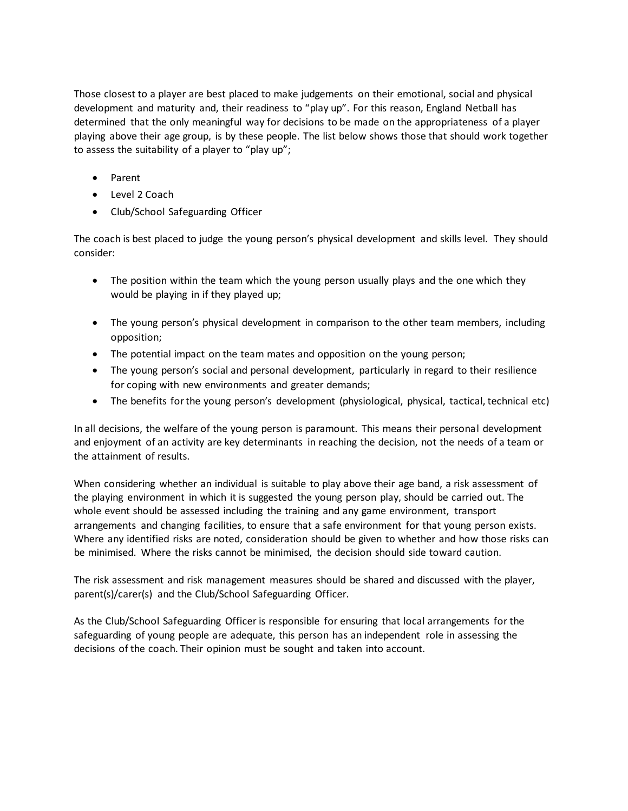Those closest to a player are best placed to make judgements on their emotional, social and physical development and maturity and, their readiness to "play up". For this reason, England Netball has determined that the only meaningful way for decisions to be made on the appropriateness of a player playing above their age group, is by these people. The list below shows those that should work together to assess the suitability of a player to "play up";

- Parent
- Level 2 Coach
- Club/School Safeguarding Officer

The coach is best placed to judge the young person's physical development and skills level. They should consider:

- The position within the team which the young person usually plays and the one which they would be playing in if they played up;
- The young person's physical development in comparison to the other team members, including opposition;
- The potential impact on the team mates and opposition on the young person;
- The young person's social and personal development, particularly in regard to their resilience for coping with new environments and greater demands;
- The benefits for the young person's development (physiological, physical, tactical, technical etc)

In all decisions, the welfare of the young person is paramount. This means their personal development and enjoyment of an activity are key determinants in reaching the decision, not the needs of a team or the attainment of results.

When considering whether an individual is suitable to play above their age band, a risk assessment of the playing environment in which it is suggested the young person play, should be carried out. The whole event should be assessed including the training and any game environment, transport arrangements and changing facilities, to ensure that a safe environment for that young person exists. Where any identified risks are noted, consideration should be given to whether and how those risks can be minimised. Where the risks cannot be minimised, the decision should side toward caution.

The risk assessment and risk management measures should be shared and discussed with the player, parent(s)/carer(s) and the Club/School Safeguarding Officer.

As the Club/School Safeguarding Officer is responsible for ensuring that local arrangements for the safeguarding of young people are adequate, this person has an independent role in assessing the decisions of the coach. Their opinion must be sought and taken into account.